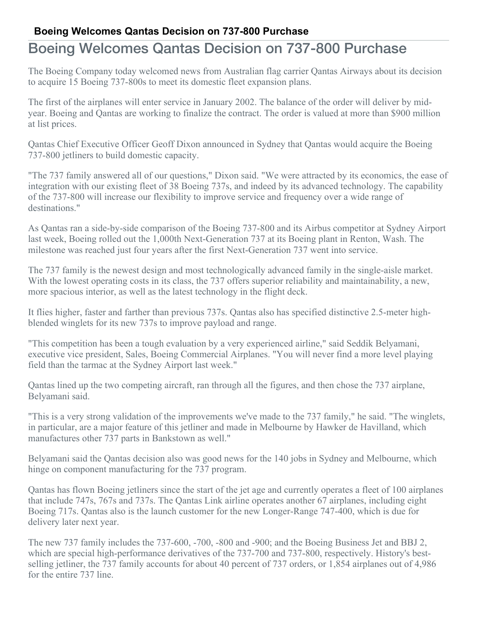## **Boeing Welcomes Qantas Decision on 737-800 Purchase**

## Boeing Welcomes Qantas Decision on 737-800 Purchase

The Boeing Company today welcomed news from Australian flag carrier Qantas Airways about its decision to acquire 15 Boeing 737-800s to meet its domestic fleet expansion plans.

The first of the airplanes will enter service in January 2002. The balance of the order will deliver by midyear. Boeing and Qantas are working to finalize the contract. The order is valued at more than \$900 million at list prices.

Qantas Chief Executive Officer Geoff Dixon announced in Sydney that Qantas would acquire the Boeing 737-800 jetliners to build domestic capacity.

"The 737 family answered all of our questions," Dixon said. "We were attracted by its economics, the ease of integration with our existing fleet of 38 Boeing 737s, and indeed by its advanced technology. The capability of the 737-800 will increase our flexibility to improve service and frequency over a wide range of destinations."

As Qantas ran a side-by-side comparison of the Boeing 737-800 and its Airbus competitor at Sydney Airport last week, Boeing rolled out the 1,000th Next-Generation 737 at its Boeing plant in Renton, Wash. The milestone was reached just four years after the first Next-Generation 737 went into service.

The 737 family is the newest design and most technologically advanced family in the single-aisle market. With the lowest operating costs in its class, the 737 offers superior reliability and maintainability, a new, more spacious interior, as well as the latest technology in the flight deck.

It flies higher, faster and farther than previous 737s. Qantas also has specified distinctive 2.5-meter highblended winglets for its new 737s to improve payload and range.

"This competition has been a tough evaluation by a very experienced airline," said Seddik Belyamani, executive vice president, Sales, Boeing Commercial Airplanes. "You will never find a more level playing field than the tarmac at the Sydney Airport last week."

Qantas lined up the two competing aircraft, ran through all the figures, and then chose the 737 airplane, Belyamani said.

"This is a very strong validation of the improvements we've made to the 737 family," he said. "The winglets, in particular, are a major feature of this jetliner and made in Melbourne by Hawker de Havilland, which manufactures other 737 parts in Bankstown as well."

Belyamani said the Qantas decision also was good news for the 140 jobs in Sydney and Melbourne, which hinge on component manufacturing for the 737 program.

Qantas has flown Boeing jetliners since the start of the jet age and currently operates a fleet of 100 airplanes that include 747s, 767s and 737s. The Qantas Link airline operates another 67 airplanes, including eight Boeing 717s. Qantas also is the launch customer for the new Longer-Range 747-400, which is due for delivery later next year.

The new 737 family includes the 737-600, -700, -800 and -900; and the Boeing Business Jet and BBJ 2, which are special high-performance derivatives of the 737-700 and 737-800, respectively. History's bestselling jetliner, the 737 family accounts for about 40 percent of 737 orders, or 1,854 airplanes out of 4,986 for the entire 737 line.